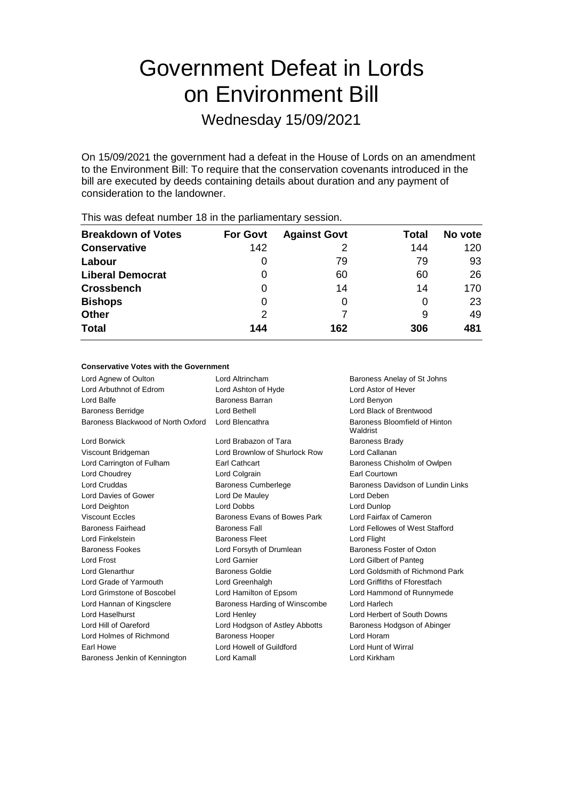# Government Defeat in Lords on Environment Bill

Wednesday 15/09/2021

On 15/09/2021 the government had a defeat in the House of Lords on an amendment to the Environment Bill: To require that the conservation covenants introduced in the bill are executed by deeds containing details about duration and any payment of consideration to the landowner.

| <b>Breakdown of Votes</b> | <b>For Govt</b> | <b>Against Govt</b> | Total | No vote |
|---------------------------|-----------------|---------------------|-------|---------|
| <b>Conservative</b>       | 142             |                     | 144   | 120     |
| Labour                    | 0               | 79                  | 79    | 93      |
| <b>Liberal Democrat</b>   | 0               | 60                  | 60    | 26      |
| <b>Crossbench</b>         | 0               | 14                  | 14    | 170     |
| <b>Bishops</b>            | 0               |                     | 0     | 23      |
| <b>Other</b>              | 2               |                     | 9     | 49      |
| <b>Total</b>              | 144             | 162                 | 306   | 481     |
|                           |                 |                     |       |         |

This was defeat number 18 in the parliamentary session.

### **Conservative Votes with the Government**

| Lord Agnew of Oulton               | Lord Altrincham                | Baroness Anelay of St Johns               |
|------------------------------------|--------------------------------|-------------------------------------------|
| Lord Arbuthnot of Edrom            | Lord Ashton of Hyde            | <b>Lord Astor of Hever</b>                |
| Lord Balfe                         | Baroness Barran                | Lord Benyon                               |
| <b>Baroness Berridge</b>           | Lord Bethell                   | Lord Black of Brentwood                   |
| Baroness Blackwood of North Oxford | Lord Blencathra                | Baroness Bloomfield of Hinton<br>Waldrist |
| Lord Borwick                       | Lord Brabazon of Tara          | <b>Baroness Brady</b>                     |
| Viscount Bridgeman                 | Lord Brownlow of Shurlock Row  | Lord Callanan                             |
| Lord Carrington of Fulham          | <b>Earl Cathcart</b>           | Baroness Chisholm of Owlpen               |
| Lord Choudrey                      | Lord Colgrain                  | Earl Courtown                             |
| Lord Cruddas                       | <b>Baroness Cumberlege</b>     | Baroness Davidson of Lundin Links         |
| Lord Davies of Gower               | Lord De Mauley                 | Lord Deben                                |
| Lord Deighton                      | <b>Lord Dobbs</b>              | Lord Dunlop                               |
| <b>Viscount Eccles</b>             | Baroness Evans of Bowes Park   | Lord Fairfax of Cameron                   |
| <b>Baroness Fairhead</b>           | <b>Baroness Fall</b>           | Lord Fellowes of West Stafford            |
| <b>Lord Finkelstein</b>            | <b>Baroness Fleet</b>          | Lord Flight                               |
| <b>Baroness Fookes</b>             | Lord Forsyth of Drumlean       | Baroness Foster of Oxton                  |
| <b>Lord Frost</b>                  | Lord Garnier                   | Lord Gilbert of Panteg                    |
| <b>Lord Glenarthur</b>             | <b>Baroness Goldie</b>         | Lord Goldsmith of Richmond Park           |
| Lord Grade of Yarmouth             | Lord Greenhalgh                | Lord Griffiths of Fforestfach             |
| Lord Grimstone of Boscobel         | Lord Hamilton of Epsom         | Lord Hammond of Runnymede                 |
| Lord Hannan of Kingsclere          | Baroness Harding of Winscombe  | Lord Harlech                              |
| Lord Haselhurst                    | Lord Henley                    | Lord Herbert of South Downs               |
| Lord Hill of Oareford              | Lord Hodgson of Astley Abbotts | Baroness Hodgson of Abinger               |
| Lord Holmes of Richmond            | <b>Baroness Hooper</b>         | Lord Horam                                |
| Earl Howe                          | Lord Howell of Guildford       | Lord Hunt of Wirral                       |
| Baroness Jenkin of Kennington      | Lord Kamall                    | Lord Kirkham                              |
|                                    |                                |                                           |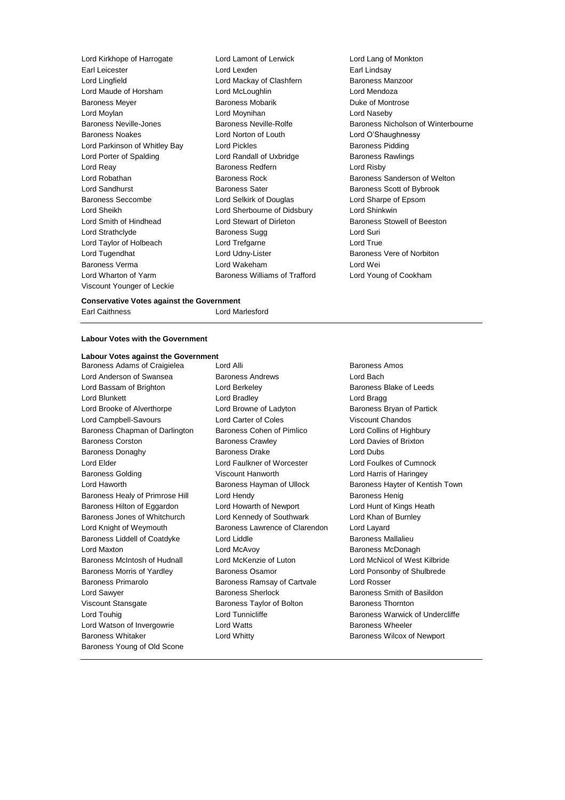Lord Kirkhope of Harrogate Lord Lamont of Lerwick Lord Lang of Monkton Earl Leicester Lord Lexden Earl Lindsay Lord Lingfield **Lord Mackay of Clashfern** Lord Maude of Horsham Lord McLoughlin Lord Mendoza Baroness Meyer **Baroness Mobarik Communist Party Communist Party Communist Party Communist Party Party Party Party Party Party Party Party Party Party Party Party Party Party Party Party Party Party Party Party Party Party** Lord Moylan Lord Moynihan Lord Naseby Baroness Noakes Lord Norton of Louth Lord O'Shaughnessy Lord Parkinson of Whitley Bay Lord Pickles **Baroness Pidding** Lord Porter of Spalding **Lord Randall of Uxbridge Baroness Rawlings** Lord Reay **Baroness Redfern Baroness Redfern Lord Risby** Lord Robathan Baroness Rock Baroness Sanderson of Welton Lord Sandhurst **Baroness Sater** Baroness Sater **Baroness Scott of Bybrook** Baroness Seccombe Lord Selkirk of Douglas Lord Sharpe of Epsom Lord Sheikh Lord Sherbourne of Didsbury Lord Shinkwin Lord Smith of Hindhead Lord Stewart of Dirleton Baroness Stowell of Beeston Lord Strathclyde **Baroness Sugg Lord Suries** Lord Taylor of Holbeach Lord Trefgarne Lord True Lord Tugendhat **Lord Udny-Lister Lord Udny-Lister Baroness Vere of Norbiton** Baroness Verma Lord Wakeham Lord Wei Lord Wharton of Yarm Baroness Williams of Trafford Lord Young of Cookham Viscount Younger of Leckie

# Baroness Neville-Jones **Baroness Neville-Rolfe** Baroness Nicholson of Winterbourne

### **Conservative Votes against the Government**

Earl Caithness **Lord Marlesford** 

### **Labour Votes with the Government**

### **Labour Votes against the Government**

Lord Anderson of Swansea **Baroness Andrews** Lord Bach Lord Bassam of Brighton **Lord Berkeley Baroness Blake of Leeds Baroness Blake of Leeds** Lord Blunkett **Lord Bradley** Lord Bradley **Lord Bradley** Lord Bradley **Lord Bragg** Lord Brooke of Alverthorpe **Lord Browne of Ladyton** Baroness Bryan of Partick Lord Campbell-Savours Lord Carter of Coles Viscount Chandos Baroness Chapman of Darlington Baroness Cohen of Pimlico Lord Collins of Highbury Baroness Corston Baroness Crawley Lord Davies of Brixton Baroness Donaghy **Baroness Drake** Lord Dubs Lord Elder Lord Faulkner of Worcester Lord Foulkes of Cumnock Baroness Golding **Contract Contract Contract Viscount Hanworth** Lord Harris of Haringey Lord Haworth **Baroness Hayman of Ullock** Baroness Hayter of Kentish Town Baroness Healy of Primrose Hill Lord Hendy Contract Contract Baroness Henig Baroness Hilton of Eggardon Lord Howarth of Newport Lord Hunt of Kings Heath Baroness Jones of Whitchurch Lord Kennedy of Southwark Lord Khan of Burnley Lord Knight of Weymouth Baroness Lawrence of Clarendon Lord Layard Baroness Liddell of Coatdyke Lord Liddle **Baroness Mallalieu** Baroness Mallalieu Lord Maxton **Lord McAvoy Consumers** Baroness McDonagh Baroness McIntosh of Hudnall Lord McKenzie of Luton Lord McNicol of West Kilbride Baroness Morris of Yardley **Baroness Osamor Baroness Osamor** Lord Ponsonby of Shulbrede Baroness Primarolo Baroness Ramsay of Cartvale Lord Rosser Lord Sawyer **Baroness Sherlock** Baroness Sherlock Baroness Smith of Basildon Viscount Stansgate **Baroness Taylor of Bolton** Baroness Thornton Lord Touhig Lord Tunnicliffe Baroness Warwick of Undercliffe Lord Watson of Invergowrie **Lord Watts Baroness Wheeler** Baroness Whitaker **Lord Whitty Baroness Wilcox of Newport Baroness Wilcox of Newport** Baroness Young of Old Scone

Baroness Adams of Craigielea Lord Alli **Baroness Amos** Baroness Amos